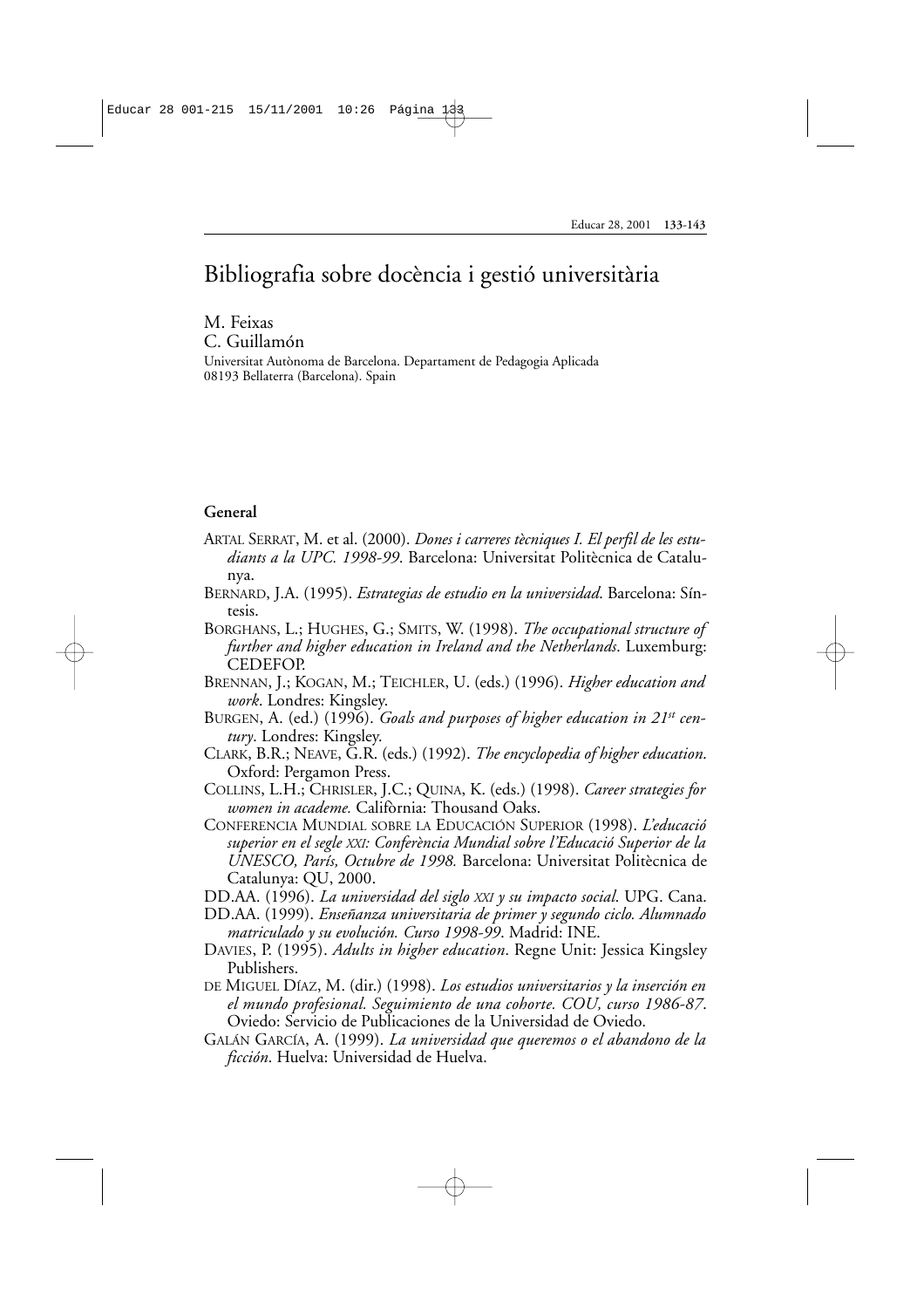# Bibliografia sobre docència i gestió universitària

#### M. Feixas C. Guillamón

Universitat Autònoma de Barcelona. Departament de Pedagogia Aplicada 08193 Bellaterra (Barcelona). Spain

### **General**

- ARTAL SERRAT, M. et al. (2000). *Dones i carreres tècniques I. El perfil de les estudiants a la UPC. 1998-99*. Barcelona: Universitat Politècnica de Catalunya.
- BERNARD, J.A. (1995). *Estrategias de estudio en la universidad*. Barcelona: Síntesis.
- BORGHANS, L.; HUGHES, G.; SMITS, W. (1998). *The occupational structure of further and higher education in Ireland and the Netherlands*. Luxemburg: CEDEFOP.
- BRENNAN, J.; KOGAN, M.; TEICHLER, U. (eds.) (1996). *Higher education and work*. Londres: Kingsley.
- BURGEN, A. (ed.) (1996). *Goals and purposes of higher education in 21st century*. Londres: Kingsley.
- CLARK, B.R.; NEAVE, G.R. (eds.) (1992). *The encyclopedia of higher education*. Oxford: Pergamon Press.
- COLLINS, L.H.; CHRISLER, J.C.; QUINA, K. (eds.) (1998). *Career strategies for women in academe.* Califòrnia: Thousand Oaks.
- CONFERENCIA MUNDIAL SOBRE LA EDUCACIÓN SUPERIOR (1998). *L'educació superior en el segle XXI: Conferència Mundial sobre l'Educació Superior de la UNESCO, París, Octubre de 1998.* Barcelona: Universitat Politècnica de Catalunya: QU, 2000.
- DD.AA. (1996). *La universidad del siglo XXI y su impacto social*. UPG. Cana.
- DD.AA. (1999). *Enseñanza universitaria de primer y segundo ciclo. Alumnado matriculado y su evolución. Curso 1998-99*. Madrid: INE.
- DAVIES, P. (1995). *Adults in higher education*. Regne Unit: Jessica Kingsley Publishers.
- DE MIGUEL DÍAZ, M. (dir.) (1998). *Los estudios universitarios y la inserción en el mundo profesional. Seguimiento de una cohorte. COU, curso 1986-87*. Oviedo: Servicio de Publicaciones de la Universidad de Oviedo.
- GALÁN GARCÍA, A. (1999). *La universidad que queremos o el abandono de la ficción*. Huelva: Universidad de Huelva.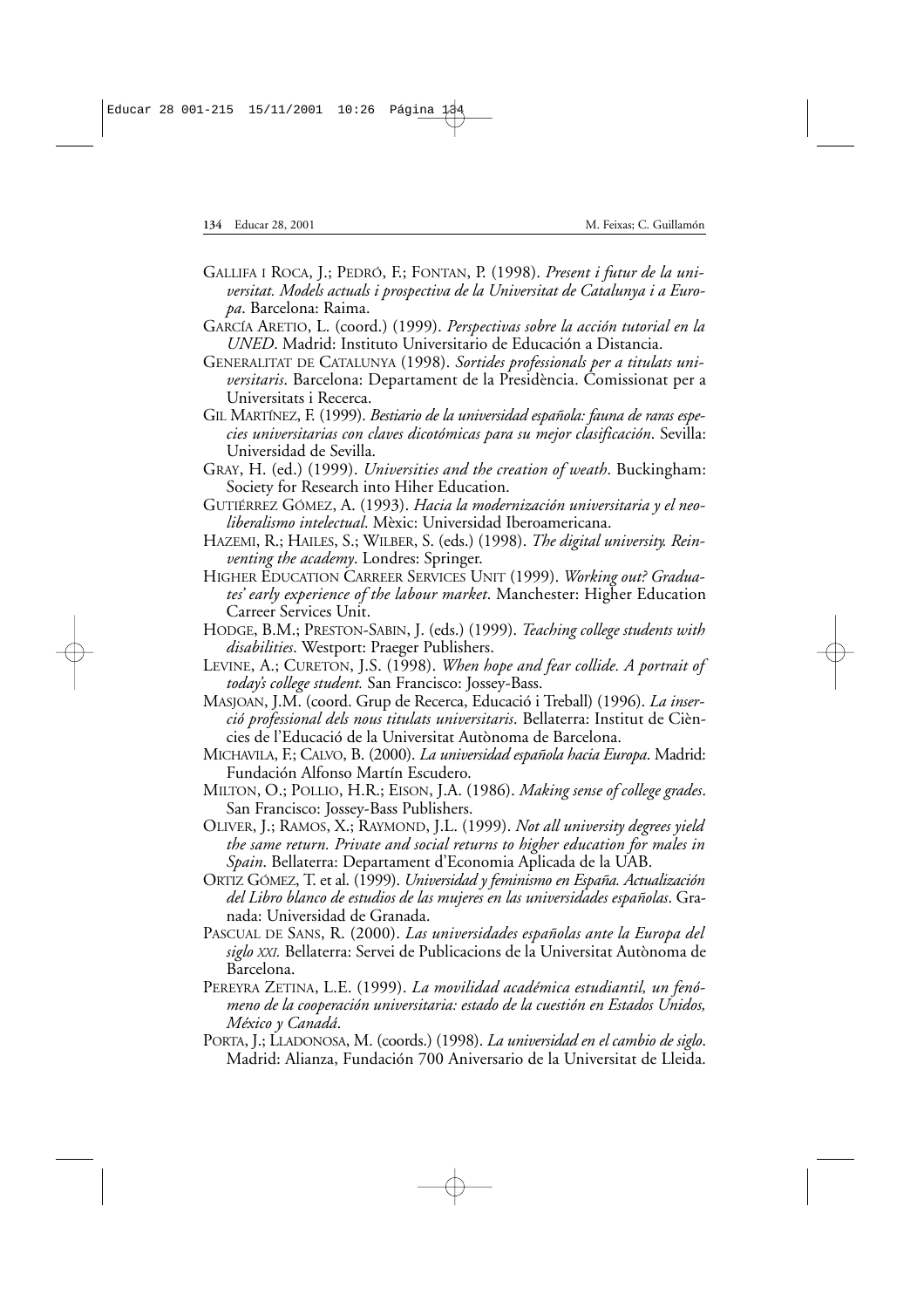- GALLIFA I ROCA, J.; PEDRÓ, F.; FONTAN, P. (1998). *Present i futur de la universitat. Models actuals i prospectiva de la Universitat de Catalunya i a Europa*. Barcelona: Raima.
- GARCÍA ARETIO, L. (coord.) (1999). *Perspectivas sobre la acción tutorial en la UNED*. Madrid: Instituto Universitario de Educación a Distancia.
- GENERALITAT DE CATALUNYA (1998). *Sortides professionals per a titulats universitaris*. Barcelona: Departament de la Presidència. Comissionat per a Universitats i Recerca.
- GIL MARTÍNEZ, F. (1999). *Bestiario de la universidad española: fauna de raras especies universitarias con claves dicotómicas para su mejor clasificación*. Sevilla: Universidad de Sevilla.
- GRAY, H. (ed.) (1999). *Universities and the creation of weath*. Buckingham: Society for Research into Hiher Education.
- GUTIÉRREZ GÓMEZ, A. (1993). *Hacia la modernización universitaria y el neoliberalismo intelectual*. Mèxic: Universidad Iberoamericana.
- HAZEMI, R.; HAILES, S.; WILBER, S. (eds.) (1998). *The digital university. Reinventing the academy*. Londres: Springer.
- HIGHER EDUCATION CARREER SERVICES UNIT (1999). *Working out? Graduates' early experience of the labour market*. Manchester: Higher Education Carreer Services Unit.
- HODGE, B.M.; PRESTON-SABIN, J. (eds.) (1999). *Teaching college students with disabilities*. Westport: Praeger Publishers.
- LEVINE, A.; CURETON, J.S. (1998). *When hope and fear collide. A portrait of today's college student.* San Francisco: Jossey-Bass.
- MASJOAN, J.M. (coord. Grup de Recerca, Educació i Treball) (1996). *La inserció professional dels nous titulats universitaris*. Bellaterra: Institut de Ciències de l'Educació de la Universitat Autònoma de Barcelona.
- MICHAVILA, F.; CALVO, B. (2000). *La universidad española hacia Europa*. Madrid: Fundación Alfonso Martín Escudero.
- MILTON, O.; POLLIO, H.R.; EISON, J.A. (1986). *Making sense of college grades*. San Francisco: Jossey-Bass Publishers.
- OLIVER, J.; RAMOS, X.; RAYMOND, J.L. (1999). *Not all university degrees yield the same return. Private and social returns to higher education for males in Spain*. Bellaterra: Departament d'Economia Aplicada de la UAB.
- ORTIZ GÓMEZ, T. et al. (1999). *Universidad y feminismo en España. Actualización del Libro blanco de estudios de las mujeres en las universidades españolas*. Granada: Universidad de Granada.
- PASCUAL DE SANS, R. (2000). *Las universidades españolas ante la Europa del siglo XXI.* Bellaterra: Servei de Publicacions de la Universitat Autònoma de Barcelona.
- PEREYRA ZETINA, L.E. (1999). *La movilidad académica estudiantil, un fenómeno de la cooperación universitaria: estado de la cuestión en Estados Unidos, México y Canadá*.
- PORTA, J.; LLADONOSA, M. (coords.) (1998). *La universidad en el cambio de siglo*. Madrid: Alianza, Fundación 700 Aniversario de la Universitat de Lleida.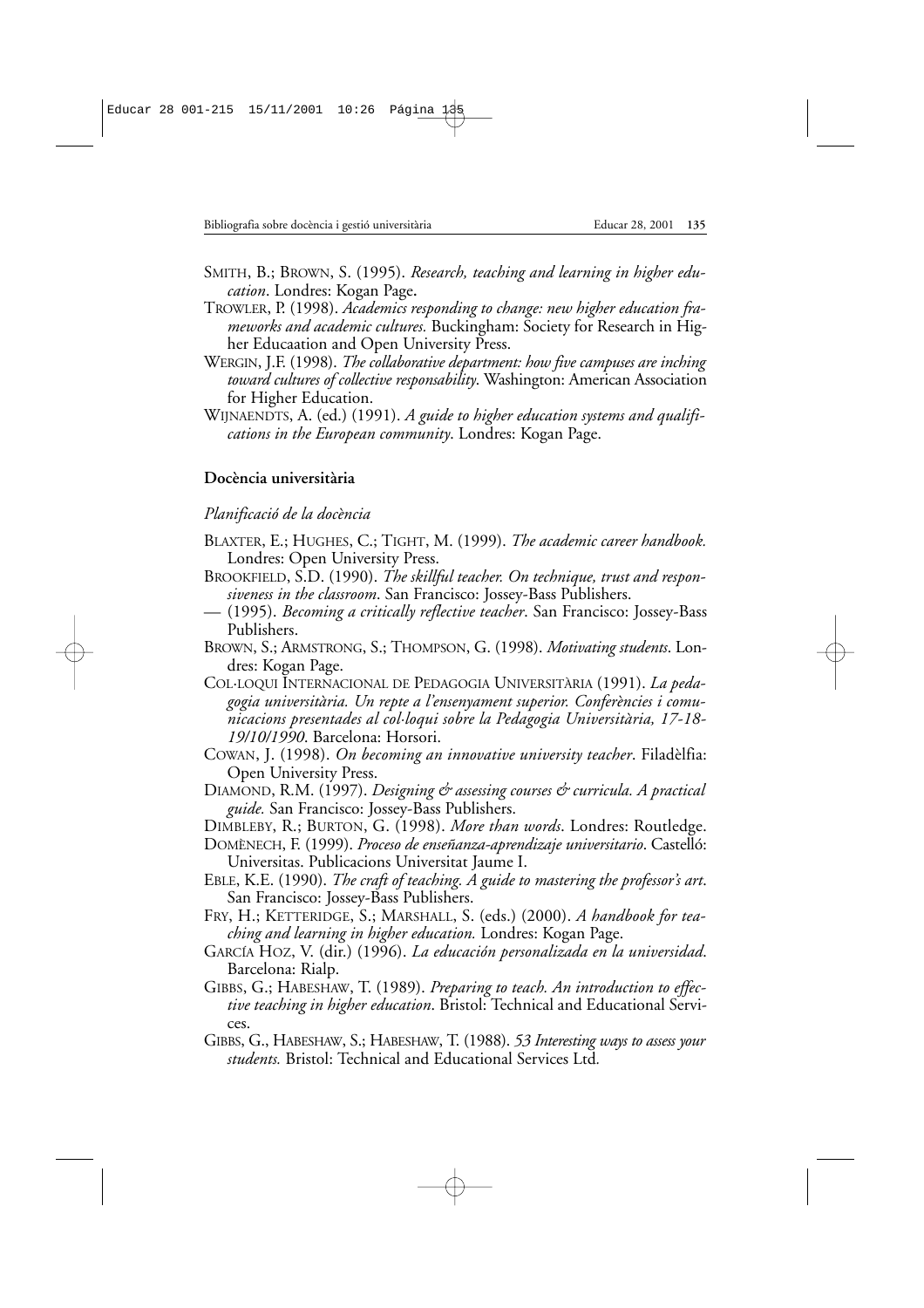- SMITH, B.; BROWN, S. (1995). *Research, teaching and learning in higher education*. Londres: Kogan Page**.**
- TROWLER, P. (1998). *Academics responding to change: new higher education frameworks and academic cultures.* Buckingham: Society for Research in Higher Educaation and Open University Press.
- WERGIN, J.F. (1998). *The collaborative department: how five campuses are inching toward cultures of collective responsability*. Washington: American Association for Higher Education.
- WIJNAENDTS, A. (ed.) (1991). *A guide to higher education systems and qualifications in the European community*. Londres: Kogan Page.

# **Docència universitària**

# *Planificació de la docència*

- BLAXTER, E.; HUGHES, C.; TIGHT, M. (1999). *The academic career handbook.* Londres: Open University Press.
- BROOKFIELD, S.D. (1990). *The skillful teacher. On technique, trust and responsiveness in the classroom*. San Francisco: Jossey-Bass Publishers.
- (1995). *Becoming a critically reflective teacher*. San Francisco: Jossey-Bass Publishers.
- BROWN, S.; ARMSTRONG, S.; THOMPSON, G. (1998). *Motivating students*. Londres: Kogan Page.
- COL·LOQUI INTERNACIONAL DE PEDAGOGIA UNIVERSITÀRIA (1991). *La pedagogia universitària. Un repte a l'ensenyament superior. Conferències i comunicacions presentades al col·loqui sobre la Pedagogia Universitària, 17-18- 19/10/1990*. Barcelona: Horsori.
- COWAN, J. (1998). *On becoming an innovative university teacher*. Filadèlfia: Open University Press.
- DIAMOND, R.M. (1997). *Designing & assessing courses & curricula. A practical guide.* San Francisco: Jossey-Bass Publishers.

DIMBLEBY, R.; BURTON, G. (1998). *More than words*. Londres: Routledge.

- DOMÈNECH, F. (1999). *Proceso de enseñanza-aprendizaje universitario*. Castelló: Universitas. Publicacions Universitat Jaume I.
- EBLE, K.E. (1990). *The craft of teaching. A guide to mastering the professor's art*. San Francisco: Jossey-Bass Publishers.
- FRY, H.; KETTERIDGE, S.; MARSHALL, S. (eds.) (2000). *A handbook for teaching and learning in higher education.* Londres: Kogan Page.
- GARCÍA HOZ, V. (dir.) (1996). *La educación personalizada en la universidad*. Barcelona: Rialp.
- GIBBS, G.; HABESHAW, T. (1989). *Preparing to teach. An introduction to effective teaching in higher education*. Bristol: Technical and Educational Services.
- GIBBS, G., HABESHAW, S.; HABESHAW, T. (1988). *53 Interesting ways to assess your students.* Bristol: Technical and Educational Services Ltd*.*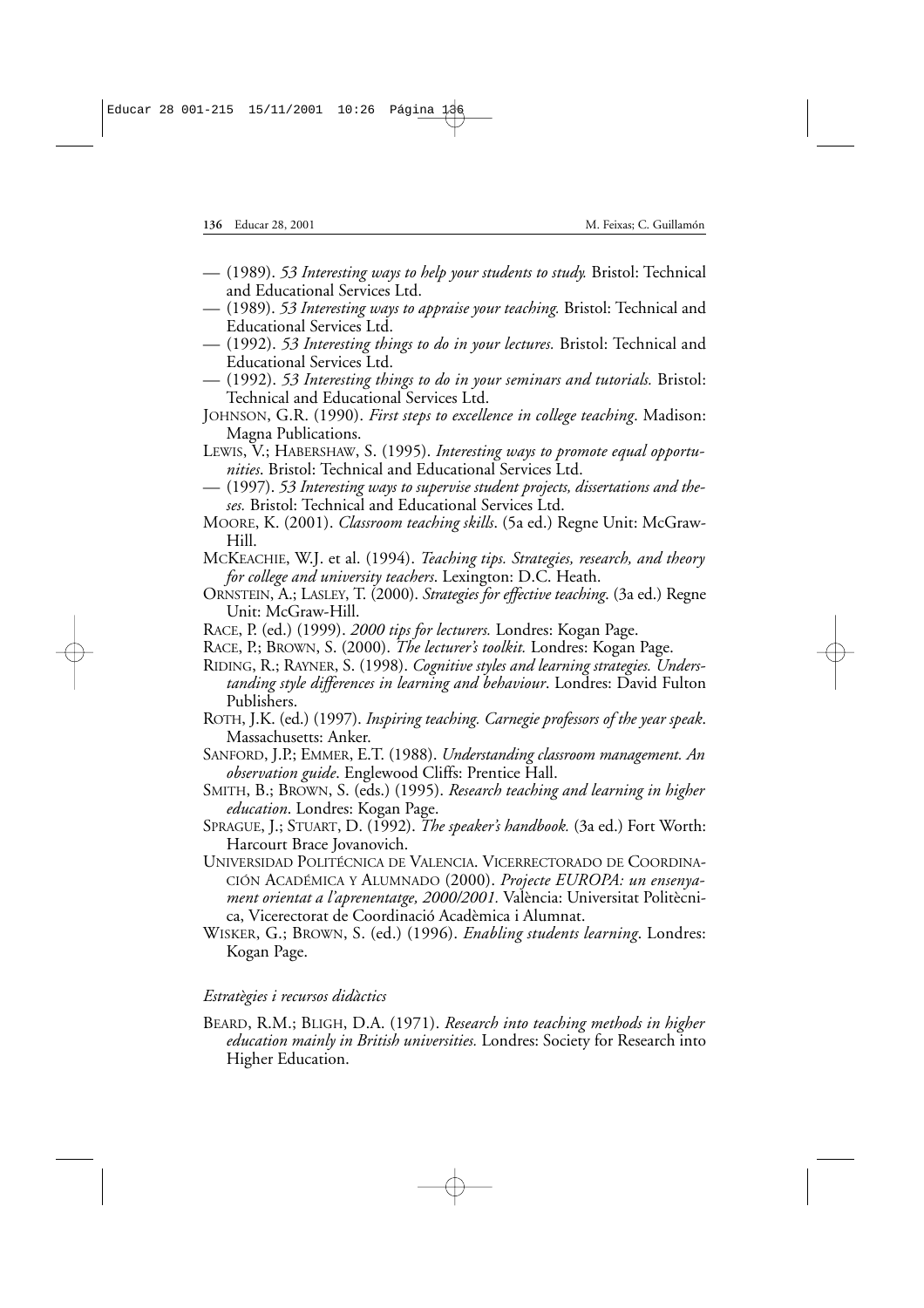- (1989). *53 Interesting ways to help your students to study.* Bristol: Technical and Educational Services Ltd.
- (1989). *53 Interesting ways to appraise your teaching.* Bristol: Technical and Educational Services Ltd.
- (1992). *53 Interesting things to do in your lectures.* Bristol: Technical and Educational Services Ltd.
- (1992). *53 Interesting things to do in your seminars and tutorials.* Bristol: Technical and Educational Services Ltd.
- JOHNSON, G.R. (1990). *First steps to excellence in college teaching*. Madison: Magna Publications.
- LEWIS, V.; HABERSHAW, S. (1995). *Interesting ways to promote equal opportunities*. Bristol: Technical and Educational Services Ltd.
- (1997). *53 Interesting ways to supervise student projects, dissertations and theses.* Bristol: Technical and Educational Services Ltd.
- MOORE, K. (2001). *Classroom teaching skills*. (5a ed.) Regne Unit: McGraw-Hill.
- MCKEACHIE, W.J. et al. (1994). *Teaching tips. Strategies, research, and theory for college and university teachers*. Lexington: D.C. Heath.
- ORNSTEIN, A.; LASLEY, T. (2000). *Strategies for effective teaching*. (3a ed.) Regne Unit: McGraw-Hill.
- RACE, P. (ed.) (1999). *2000 tips for lecturers.* Londres: Kogan Page.
- RACE, P.; BROWN, S. (2000). *The lecturer's toolkit.* Londres: Kogan Page.
- RIDING, R.; RAYNER, S. (1998). *Cognitive styles and learning strategies. Understanding style differences in learning and behaviour*. Londres: David Fulton Publishers.
- ROTH, J.K. (ed.) (1997). *Inspiring teaching. Carnegie professors of the year speak*. Massachusetts: Anker.
- SANFORD, J.P.; EMMER, E.T. (1988). *Understanding classroom management. An observation guide*. Englewood Cliffs: Prentice Hall.
- SMITH, B.; BROWN, S. (eds.) (1995). *Research teaching and learning in higher education*. Londres: Kogan Page.
- SPRAGUE, J.; STUART, D. (1992). *The speaker's handbook.* (3a ed.) Fort Worth: Harcourt Brace Jovanovich.
- UNIVERSIDAD POLITÉCNICA DE VALENCIA. VICERRECTORADO DE COORDINA-CIÓN ACADÉMICA Y ALUMNADO (2000). *Projecte EUROPA: un ensenyament orientat a l'aprenentatge, 2000/2001.* València: Universitat Politècnica, Vicerectorat de Coordinació Acadèmica i Alumnat.

WISKER, G.; BROWN, S. (ed.) (1996). *Enabling students learning*. Londres: Kogan Page.

## *Estratègies i recursos didàctics*

BEARD, R.M.; BLIGH, D.A. (1971). *Research into teaching methods in higher education mainly in British universities.* Londres: Society for Research into Higher Education.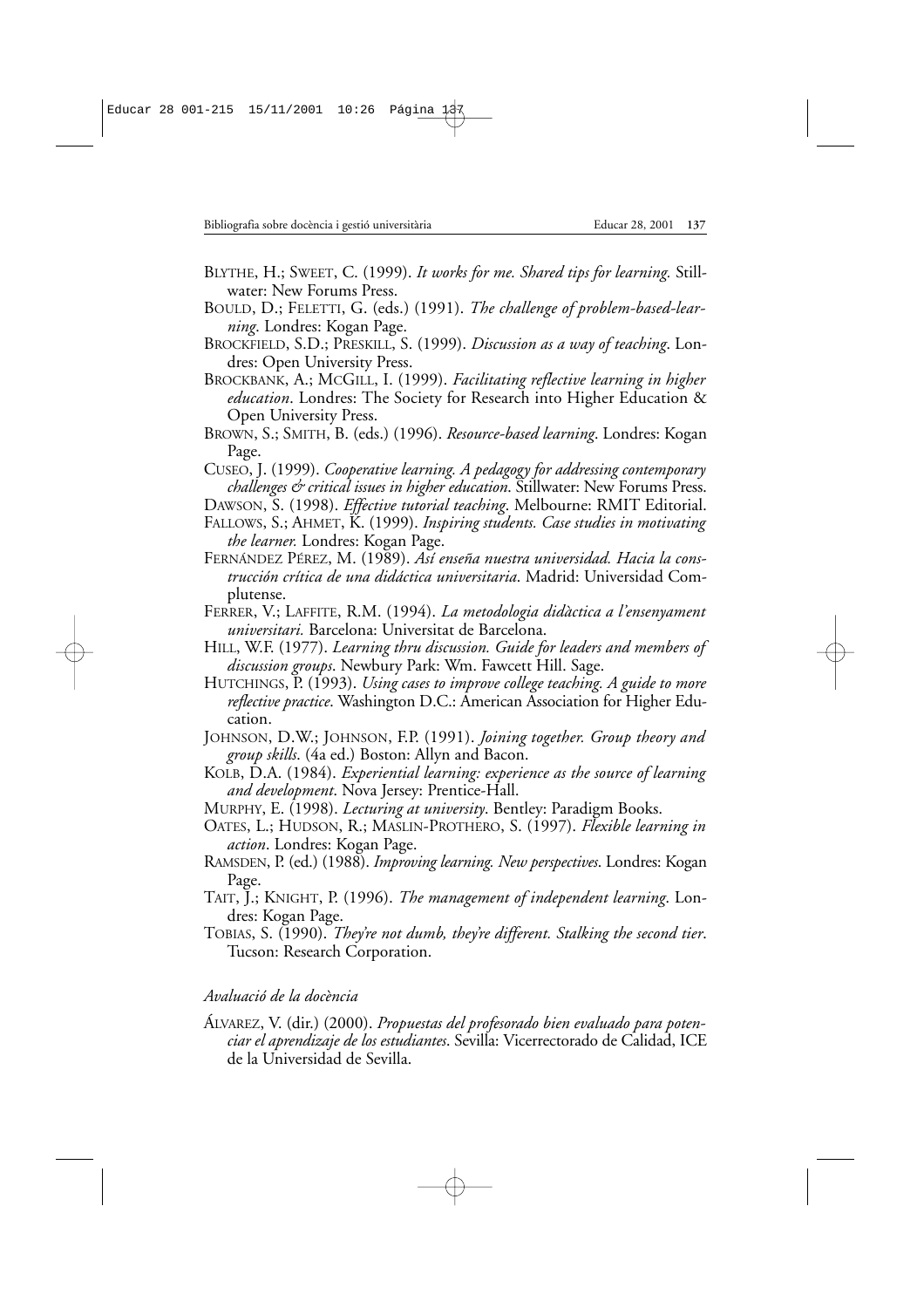- BLYTHE, H.; SWEET, C. (1999). *It works for me. Shared tips for learning.* Stillwater: New Forums Press.
- BOULD, D.; FELETTI, G. (eds.) (1991). *The challenge of problem-based-learning*. Londres: Kogan Page.
- BROCKFIELD, S.D.; PRESKILL, S. (1999). *Discussion as a way of teaching*. Londres: Open University Press.
- BROCKBANK, A.; MCGILL, I. (1999). *Facilitating reflective learning in higher education*. Londres: The Society for Research into Higher Education & Open University Press.
- BROWN, S.; SMITH, B. (eds.) (1996). *Resource-based learning*. Londres: Kogan Page.
- CUSEO, J. (1999). *Cooperative learning. A pedagogy for addressing contemporary challenges & critical issues in higher education*. Stillwater: New Forums Press.
- DAWSON, S. (1998). *Effective tutorial teaching*. Melbourne: RMIT Editorial.
- FALLOWS, S.; AHMET, K. (1999). *Inspiring students. Case studies in motivating the learner.* Londres: Kogan Page.
- FERNÁNDEZ PÉREZ, M. (1989). *Así enseña nuestra universidad. Hacia la construcción crítica de una didáctica universitaria*. Madrid: Universidad Complutense.
- FERRER, V.; LAFFITE, R.M. (1994). *La metodologia didàctica a l'ensenyament universitari.* Barcelona: Universitat de Barcelona.
- HILL, W.F. (1977). *Learning thru discussion. Guide for leaders and members of discussion groups*. Newbury Park: Wm. Fawcett Hill. Sage.
- HUTCHINGS, P. (1993). *Using cases to improve college teaching. A guide to more reflective practice*. Washington D.C.: American Association for Higher Education.
- JOHNSON, D.W.; JOHNSON, F.P. (1991). *Joining together. Group theory and group skills*. (4a ed.) Boston: Allyn and Bacon.
- KOLB, D.A. (1984). *Experiential learning: experience as the source of learning and development*. Nova Jersey: Prentice-Hall.
- MURPHY, E. (1998). *Lecturing at university*. Bentley: Paradigm Books.
- OATES, L.; HUDSON, R.; MASLIN-PROTHERO, S. (1997). *Flexible learning in action*. Londres: Kogan Page.
- RAMSDEN, P. (ed.) (1988). *Improving learning. New perspectives*. Londres: Kogan Page.
- TAIT, J.; KNIGHT, P. (1996). *The management of independent learning*. Londres: Kogan Page.
- TOBIAS, S. (1990). *They're not dumb, they're different. Stalking the second tier*. Tucson: Research Corporation.

# *Avaluació de la docència*

ÁLVAREZ, V. (dir.) (2000). *Propuestas del profesorado bien evaluado para potenciar el aprendizaje de los estudiantes*. Sevilla: Vicerrectorado de Calidad, ICE de la Universidad de Sevilla.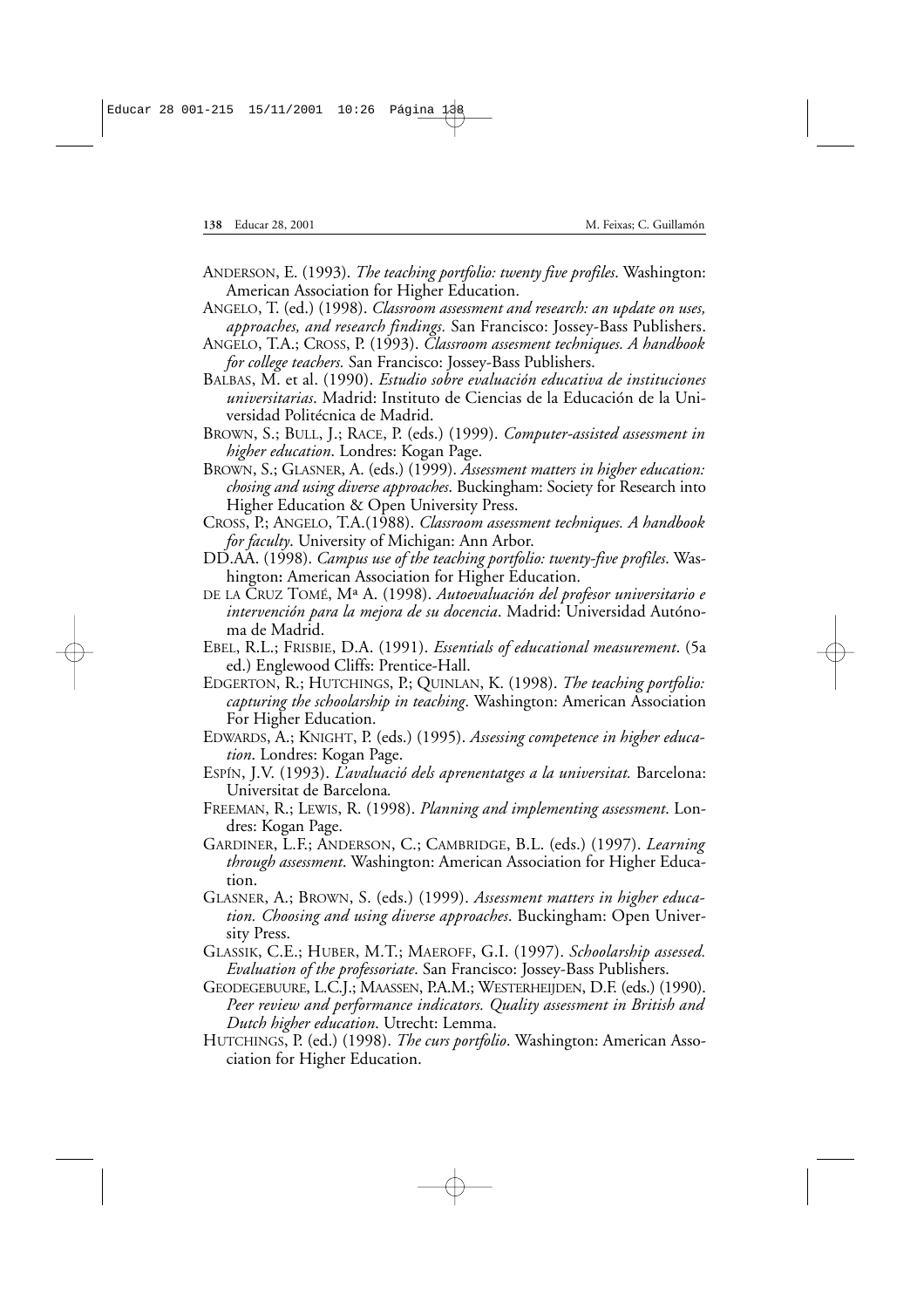- ANDERSON, E. (1993). *The teaching portfolio: twenty five profiles*. Washington: American Association for Higher Education.
- ANGELO, T. (ed.) (1998). *Classroom assessment and research: an update on uses, approaches, and research findings.* San Francisco: Jossey-Bass Publishers.
- ANGELO, T.A.; CROSS, P. (1993). *Classroom assesment techniques. A handbook for college teachers.* San Francisco: Jossey-Bass Publishers.
- BALBAS, M. et al. (1990). *Estudio sobre evaluación educativa de instituciones universitarias*. Madrid: Instituto de Ciencias de la Educación de la Universidad Politécnica de Madrid.
- BROWN, S.; BULL, J.; RACE, P. (eds.) (1999). *Computer-assisted assessment in higher education*. Londres: Kogan Page.
- BROWN, S.; GLASNER, A. (eds.) (1999). *Assessment matters in higher education: chosing and using diverse approaches*. Buckingham: Society for Research into Higher Education & Open University Press.
- CROSS, P.; ANGELO, T.A.(1988). *Classroom assessment techniques. A handbook for faculty*. University of Michigan: Ann Arbor.
- DD.AA. (1998). *Campus use of the teaching portfolio: twenty-five profiles*. Washington**:** American Association for Higher Education.
- DE LA CRUZ TOMÉ, Mª A. (1998). *Autoevaluación del profesor universitario e intervención para la mejora de su docencia*. Madrid: Universidad Autónoma de Madrid.
- EBEL, R.L.; FRISBIE, D.A. (1991). *Essentials of educational measurement*. (5a ed.) Englewood Cliffs: Prentice-Hall.
- EDGERTON, R.; HUTCHINGS, P.; QUINLAN, K. (1998). *The teaching portfolio: capturing the schoolarship in teaching*. Washington: American Association For Higher Education.
- EDWARDS, A.; KNIGHT, P. (eds.) (1995). *Assessing competence in higher education*. Londres: Kogan Page.
- ESPÍN, J.V. (1993). *L'avaluació dels aprenentatges a la universitat.* Barcelona: Universitat de Barcelona*.*
- FREEMAN, R.; LEWIS, R. (1998). *Planning and implementing assessment*. Londres: Kogan Page.
- GARDINER, L.F.; ANDERSON, C.; CAMBRIDGE, B.L. (eds.) (1997). *Learning through assessment*. Washington: American Association for Higher Education.
- GLASNER, A.; BROWN, S. (eds.) (1999). *Assessment matters in higher education. Choosing and using diverse approaches*. Buckingham: Open University Press.
- GLASSIK, C.E.; HUBER, M.T.; MAEROFF, G.I. (1997). *Schoolarship assessed. Evaluation of the professoriate*. San Francisco: Jossey-Bass Publishers.
- GEODEGEBUURE, L.C.J.; MAASSEN, P.A.M.; WESTERHEIJDEN, D.F. (eds.) (1990). *Peer review and performance indicators. Quality assessment in British and Dutch higher education*. Utrecht: Lemma.
- HUTCHINGS, P. (ed.) (1998). *The curs portfolio*. Washington: American Association for Higher Education.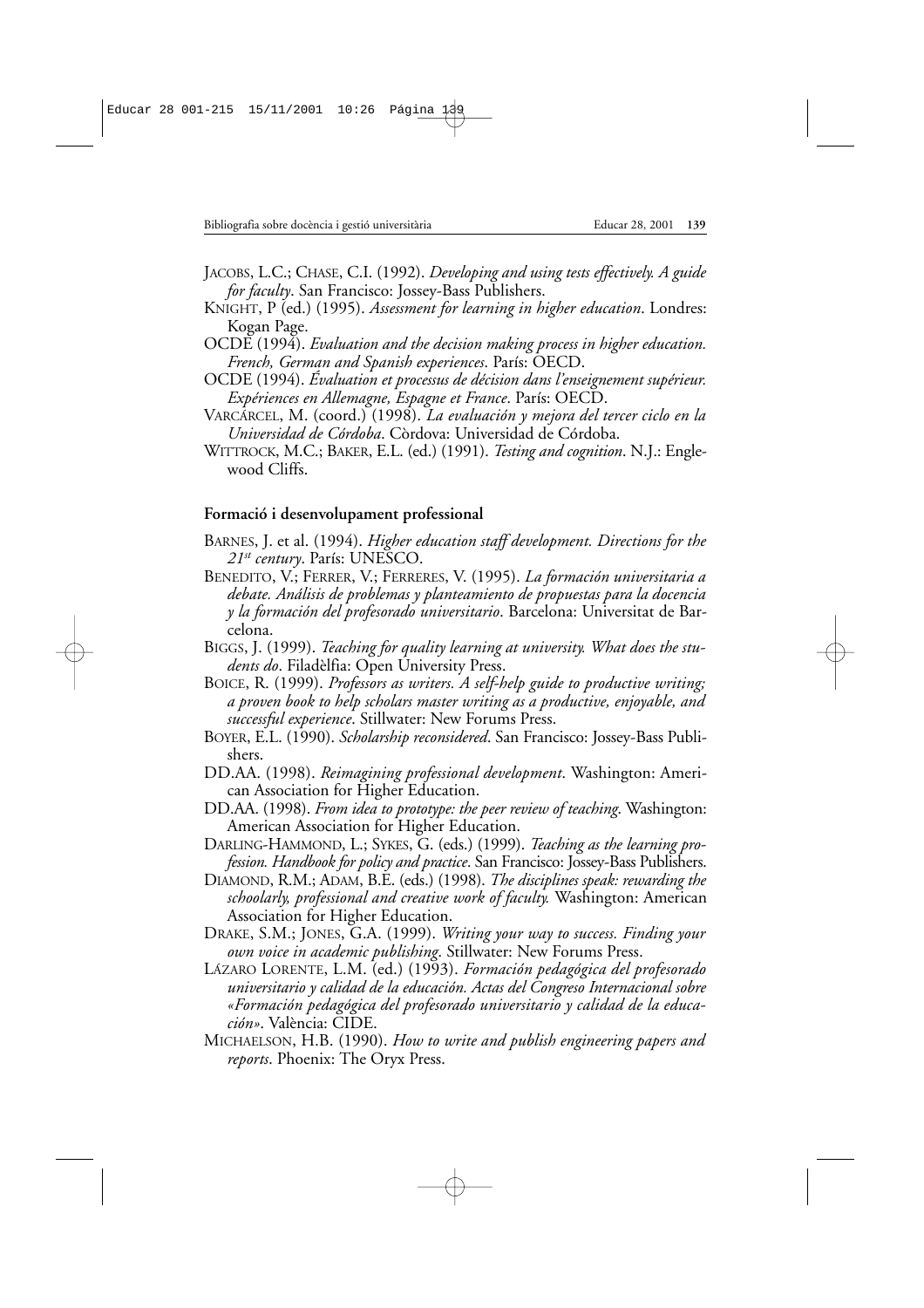- JACOBS, L.C.; CHASE, C.I. (1992). *Developing and using tests effectively. A guide for faculty*. San Francisco: Jossey-Bass Publishers.
- KNIGHT, P (ed.) (1995). *Assessment for learning in higher education*. Londres: Kogan Page.
- OCDE (1994). *Evaluation and the decision making process in higher education. French, German and Spanish experiences*. París: OECD.
- OCDE (1994). *Évaluation et processus de décision dans l'enseignement supérieur. Expériences en Allemagne, Espagne et France*. París: OECD.
- VARCÁRCEL, M. (coord.) (1998). *La evaluación y mejora del tercer ciclo en la Universidad de Córdoba*. Còrdova: Universidad de Córdoba.
- WITTROCK, M.C.; BAKER, E.L. (ed.) (1991). *Testing and cognition*. N.J.: Englewood Cliffs.

### **Formació i desenvolupament professional**

- BARNES, J. et al. (1994). *Higher education staff development. Directions for the 21st century*. París: UNESCO.
- BENEDITO, V.; FERRER, V.; FERRERES, V. (1995). *La formación universitaria a debate. Análisis de problemas y planteamiento de propuestas para la docencia y la formación del profesorado universitario*. Barcelona: Universitat de Barcelona.
- BIGGS, J. (1999). *Teaching for quality learning at university. What does the students do*. Filadèlfia: Open University Press.
- BOICE, R. (1999). *Professors as writers. A self-help guide to productive writing; a proven book to help scholars master writing as a productive, enjoyable, and successful experience*. Stillwater: New Forums Press.
- BOYER, E.L. (1990). *Scholarship reconsidered*. San Francisco: Jossey-Bass Publishers.
- DD.AA. (1998). *Reimagining professional development*. Washington: American Association for Higher Education.
- DD.AA. (1998). *From idea to prototype: the peer review of teaching*. Washington: American Association for Higher Education.
- DARLING-HAMMOND, L.; SYKES, G. (eds.) (1999). *Teaching as the learning profession. Handbook for policy and practice*. San Francisco: Jossey-Bass Publishers.
- DIAMOND, R.M.; ADAM, B.E. (eds.) (1998). *The disciplines speak: rewarding the schoolarly, professional and creative work of faculty.* Washington: American Association for Higher Education.
- DRAKE, S.M.; JONES, G.A. (1999). *Writing your way to success. Finding your own voice in academic publishing*. Stillwater: New Forums Press.
- LÁZARO LORENTE, L.M. (ed.) (1993). *Formación pedagógica del profesorado universitario y calidad de la educación. Actas del Congreso Internacional sobre «Formación pedagógica del profesorado universitario y calidad de la educación»*. València: CIDE.
- MICHAELSON, H.B. (1990). *How to write and publish engineering papers and reports*. Phoenix: The Oryx Press.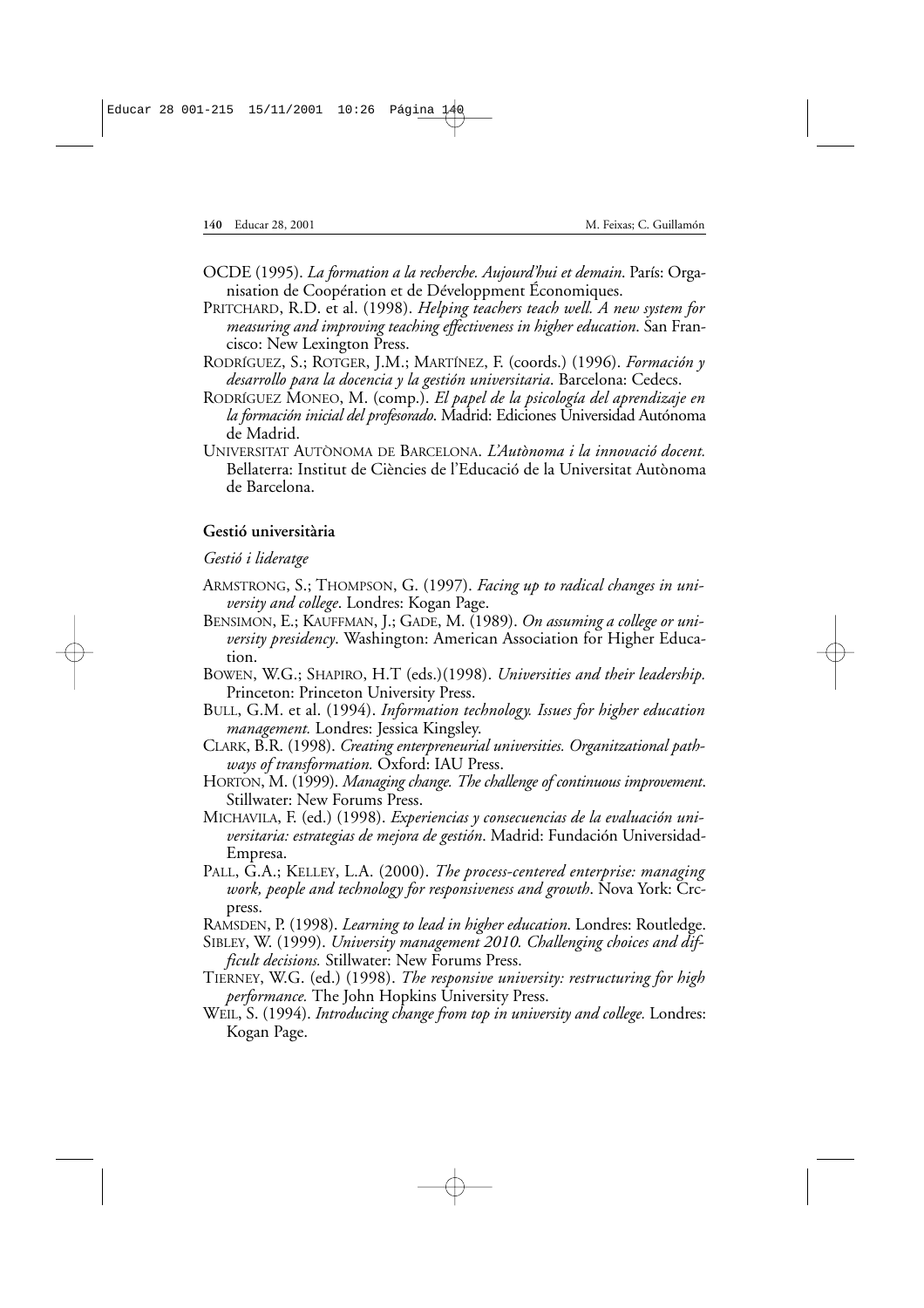- OCDE (1995). *La formation a la recherche. Aujourd'hui et demain*. París: Organisation de Coopération et de Développment Économiques.
- PRITCHARD, R.D. et al. (1998). *Helping teachers teach well. A new system for measuring and improving teaching effectiveness in higher education*. San Francisco: New Lexington Press.
- RODRÍGUEZ, S.; ROTGER, J.M.; MARTÍNEZ, F. (coords.) (1996). *Formación y desarrollo para la docencia y la gestión universitaria*. Barcelona: Cedecs.
- RODRÍGUEZ MONEO, M. (comp.). *El papel de la psicología del aprendizaje en la formación inicial del profesorado*. Madrid: Ediciones Universidad Autónoma de Madrid.
- UNIVERSITAT AUTÒNOMA DE BARCELONA. *L'Autònoma i la innovació docent.* Bellaterra: Institut de Ciències de l'Educació de la Universitat Autònoma de Barcelona.

## **Gestió universitària**

## *Gestió i lideratge*

- ARMSTRONG, S.; THOMPSON, G. (1997). *Facing up to radical changes in university and college*. Londres: Kogan Page.
- BENSIMON, E.; KAUFFMAN, J.; GADE, M. (1989). *On assuming a college or university presidency*. Washington: American Association for Higher Education.
- BOWEN, W.G.; SHAPIRO, H.T (eds.)(1998). *Universities and their leadership.* Princeton: Princeton University Press.
- BULL, G.M. et al. (1994). *Information technology. Issues for higher education management.* Londres: Jessica Kingsley.
- CLARK, B.R. (1998). *Creating enterpreneurial universities. Organitzational pathways of transformation.* Oxford: IAU Press.
- HORTON, M. (1999). *Managing change. The challenge of continuous improvement*. Stillwater: New Forums Press.
- MICHAVILA, F. (ed.) (1998). *Experiencias y consecuencias de la evaluación universitaria: estrategias de mejora de gestión*. Madrid: Fundación Universidad-Empresa.
- PALL, G.A.; KELLEY, L.A. (2000). *The process-centered enterprise: managing work, people and technology for responsiveness and growth*. Nova York: Crcpress.
- RAMSDEN, P. (1998). *Learning to lead in higher education*. Londres: Routledge.
- SIBLEY, W. (1999). *University management 2010. Challenging choices and difficult decisions.* Stillwater: New Forums Press.
- TIERNEY, W.G. (ed.) (1998). *The responsive university: restructuring for high performance*. The John Hopkins University Press.
- WEIL, S. (1994). *Introducing change from top in university and college.* Londres: Kogan Page.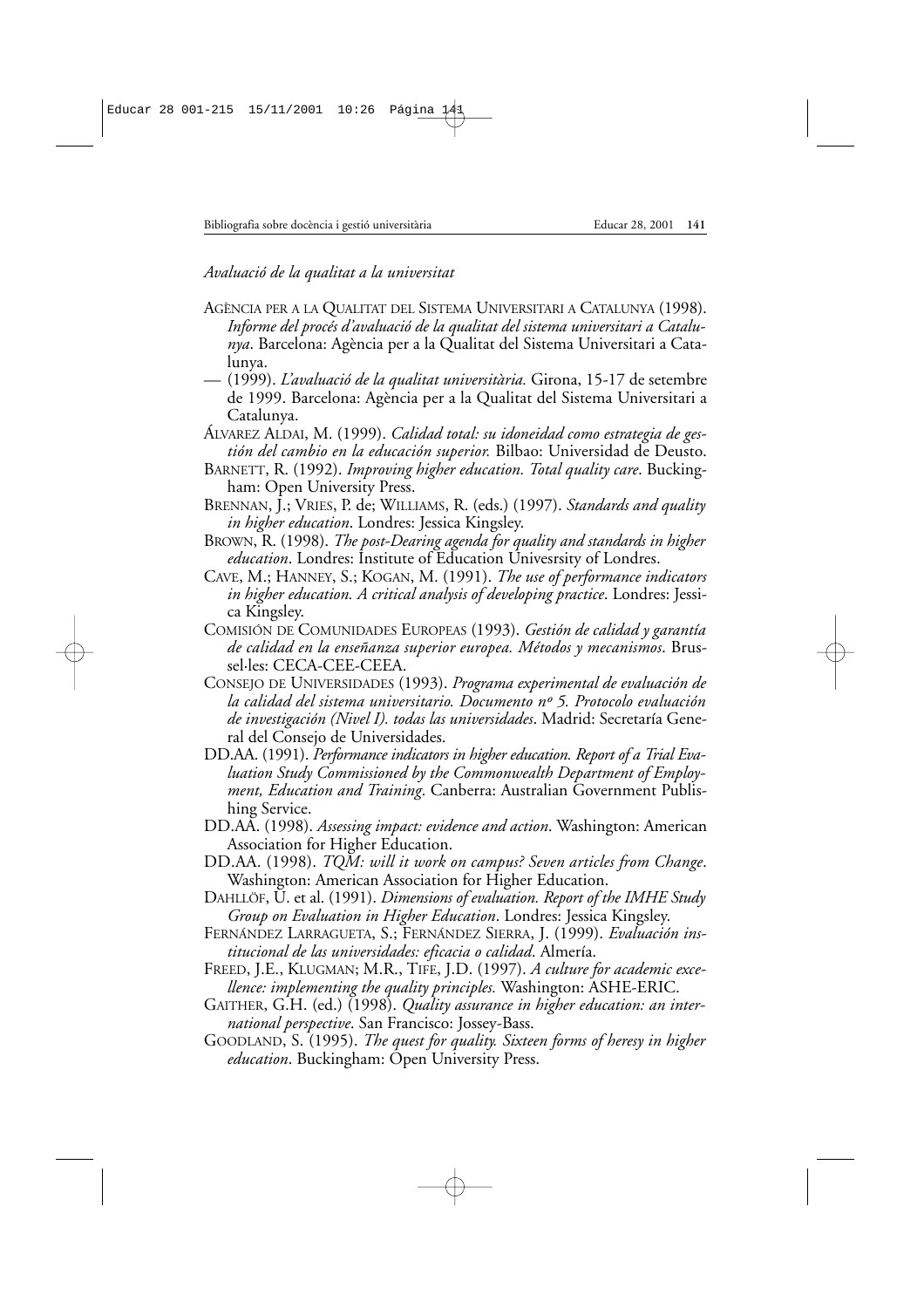*Avaluació de la qualitat a la universitat*

- AGÈNCIA PER A LA QUALITAT DEL SISTEMA UNIVERSITARI A CATALUNYA (1998). *Informe del procés d'avaluació de la qualitat del sistema universitari a Catalunya*. Barcelona: Agència per a la Qualitat del Sistema Universitari a Catalunya.
- (1999). *L'avaluació de la qualitat universitària.* Girona, 15-17 de setembre de 1999. Barcelona: Agència per a la Qualitat del Sistema Universitari a Catalunya.
- ÁLVAREZ ALDAI, M. (1999). *Calidad total: su idoneidad como estrategia de gestión del cambio en la educación superior.* Bilbao: Universidad de Deusto.
- BARNETT, R. (1992). *Improving higher education. Total quality care*. Buckingham: Open University Press.
- BRENNAN, J.; VRIES, P. de; WILLIAMS, R. (eds.) (1997). *Standards and quality in higher education*. Londres: Jessica Kingsley.
- BROWN, R. (1998). *The post-Dearing agenda for quality and standards in higher education*. Londres: Institute of Education Univesrsity of Londres.
- CAVE, M.; HANNEY, S.; KOGAN, M. (1991). *The use of performance indicators in higher education. A critical analysis of developing practice*. Londres: Jessica Kingsley.
- COMISIÓN DE COMUNIDADES EUROPEAS (1993). *Gestión de calidad y garantía de calidad en la enseñanza superior europea. Métodos y mecanismos*. Brussel·les: CECA-CEE-CEEA.
- CONSEJO DE UNIVERSIDADES (1993). *Programa experimental de evaluación de la calidad del sistema universitario. Documento nº 5. Protocolo evaluación de investigación (Nivel I). todas las universidades*. Madrid: Secretaría General del Consejo de Universidades.
- DD.AA. (1991). *Performance indicators in higher education. Report of a Trial Evaluation Study Commissioned by the Commonwealth Department of Employment, Education and Training*. Canberra: Australian Government Publishing Service.
- DD.AA. (1998). *Assessing impact: evidence and action*. Washington: American Association for Higher Education.
- DD.AA. (1998). *TQM: will it work on campus? Seven articles from Change*. Washington: American Association for Higher Education.
- DAHLLÖF, U. et al. (1991). *Dimensions of evaluation. Report of the IMHE Study Group on Evaluation in Higher Education*. Londres: Jessica Kingsley.
- FERNÁNDEZ LARRAGUETA, S.; FERNÁNDEZ SIERRA, J. (1999). *Evaluación institucional de las universidades: eficacia o calidad*. Almería.
- FREED, J.E., KLUGMAN; M.R., TIFE, J.D. (1997). *A culture for academic excellence: implementing the quality principles.* Washington: ASHE-ERIC.
- GAITHER, G.H. (ed.) (1998). *Quality assurance in higher education: an international perspective*. San Francisco: Jossey-Bass.
- GOODLAND, S. (1995). *The quest for quality. Sixteen forms of heresy in higher education*. Buckingham: Open University Press.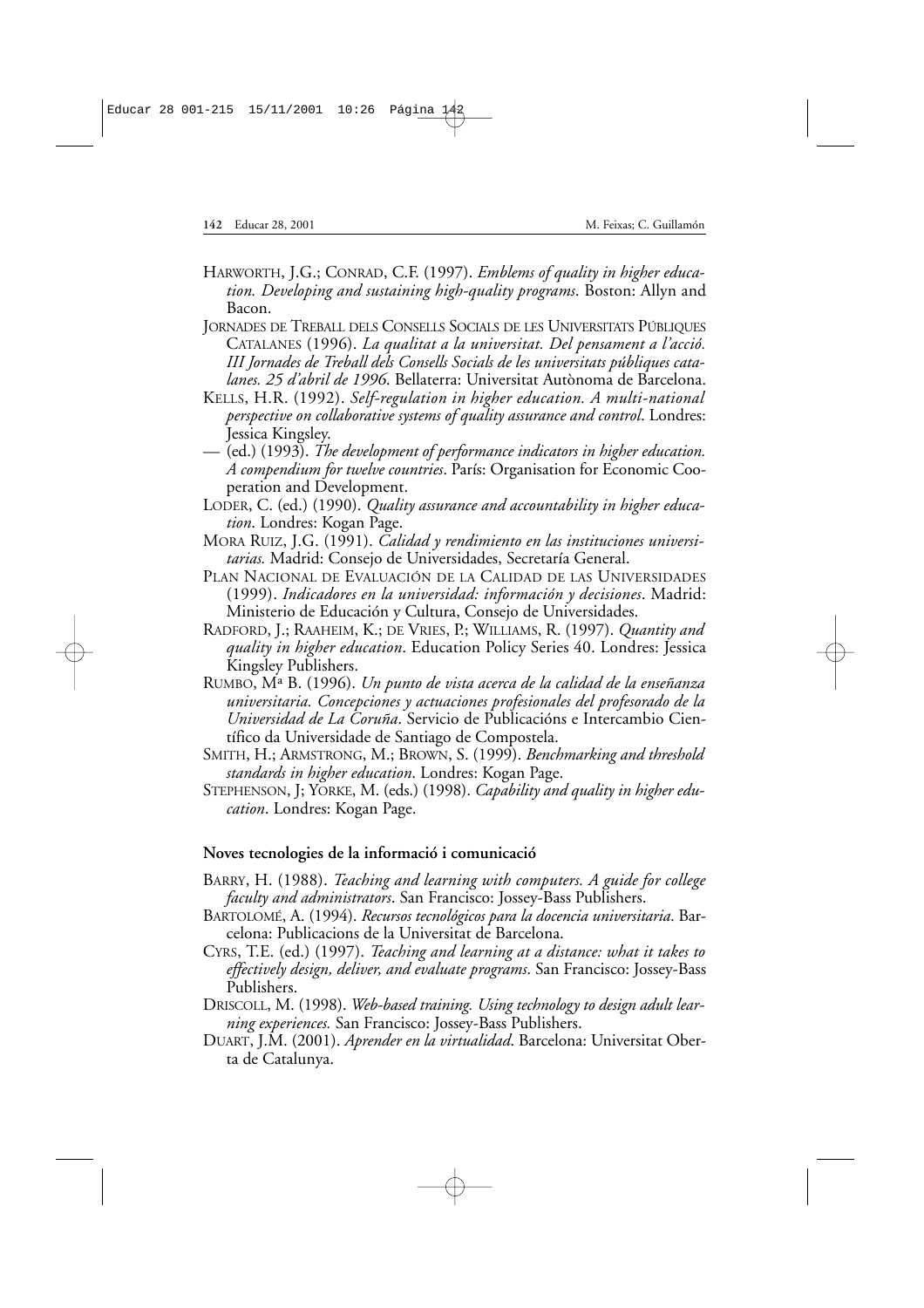- HARWORTH, J.G.; CONRAD, C.F. (1997). *Emblems of quality in higher education. Developing and sustaining high-quality programs*. Boston: Allyn and Bacon.
- JORNADES DE TREBALL DELS CONSELLS SOCIALS DE LES UNIVERSITATS PÚBLIQUES CATALANES (1996). *La qualitat a la universitat. Del pensament a l'acció. III Jornades de Treball dels Consells Socials de les universitats públiques catalanes. 25 d'abril de 1996*. Bellaterra: Universitat Autònoma de Barcelona.
- KELLS, H.R. (1992). *Self-regulation in higher education. A multi-national perspective on collaborative systems of quality assurance and control*. Londres: Jessica Kingsley.
- (ed.) (1993). *The development of performance indicators in higher education. A compendium for twelve countries*. París: Organisation for Economic Cooperation and Development.
- LODER, C. (ed.) (1990). *Quality assurance and accountability in higher education*. Londres: Kogan Page.
- MORA RUIZ, J.G. (1991). *Calidad y rendimiento en las instituciones universitarias.* Madrid: Consejo de Universidades, Secretaría General.
- PLAN NACIONAL DE EVALUACIÓN DE LA CALIDAD DE LAS UNIVERSIDADES (1999). *Indicadores en la universidad: información y decisiones*. Madrid: Ministerio de Educación y Cultura, Consejo de Universidades.
- RADFORD, J.; RAAHEIM, K.; DE VRIES, P.; WILLIAMS, R. (1997). *Quantity and quality in higher education*. Education Policy Series 40. Londres: Jessica Kingsley Publishers.
- RUMBO, Mª B. (1996). *Un punto de vista acerca de la calidad de la enseñanza universitaria. Concepciones y actuaciones profesionales del profesorado de la Universidad de La Coruña*. Servicio de Publicacións e Intercambio Científico da Universidade de Santiago de Compostela.
- SMITH, H.; ARMSTRONG, M.; BROWN, S. (1999). *Benchmarking and threshold standards in higher education*. Londres: Kogan Page.
- STEPHENSON, J; YORKE, M. (eds.) (1998). *Capability and quality in higher education*. Londres: Kogan Page.

#### **Noves tecnologies de la informació i comunicació**

- BARRY, H. (1988). *Teaching and learning with computers. A guide for college faculty and administrators*. San Francisco: Jossey-Bass Publishers.
- BARTOLOMÉ, A. (1994). *Recursos tecnológicos para la docencia universitaria*. Barcelona: Publicacions de la Universitat de Barcelona.
- CYRS, T.E. (ed.) (1997). *Teaching and learning at a distance: what it takes to effectively design, deliver, and evaluate programs*. San Francisco: Jossey-Bass Publishers.
- DRISCOLL, M. (1998). *Web-based training. Using technology to design adult learning experiences.* San Francisco: Jossey-Bass Publishers.
- DUART, J.M. (2001). *Aprender en la virtualidad*. Barcelona: Universitat Oberta de Catalunya.